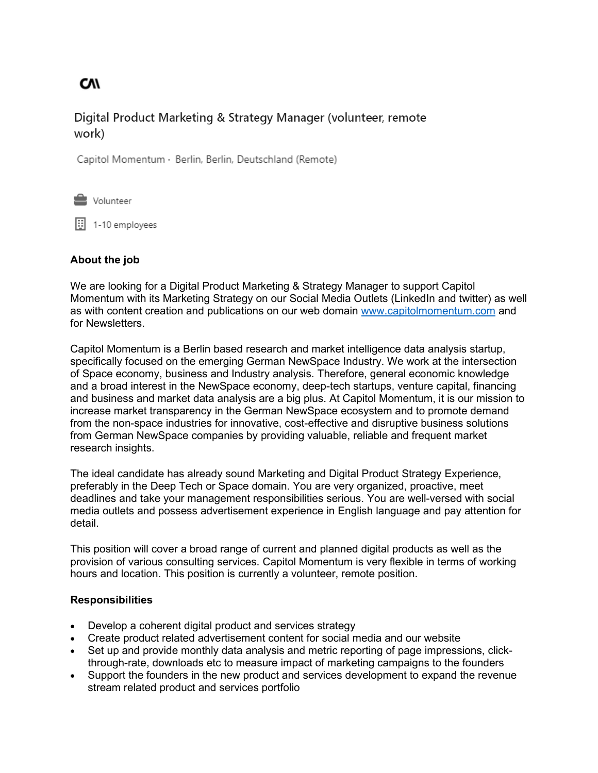**CV/** 

# Digital Product Marketing & Strategy Manager (volunteer, remote work)

Capitol Momentum · Berlin, Berlin, Deutschland (Remote)

**L** Volunteer

 $\boxed{1}$  1-10 employees

## **About the job**

We are looking for a Digital Product Marketing & Strategy Manager to support Capitol Momentum with its Marketing Strategy on our Social Media Outlets (LinkedIn and twitter) as well as with content creation and publications on our web domain [www.capitolmomentum.com](http://www.capitolmomentum.com/) and for Newsletters.

Capitol Momentum is a Berlin based research and market intelligence data analysis startup, specifically focused on the emerging German NewSpace Industry. We work at the intersection of Space economy, business and Industry analysis. Therefore, general economic knowledge and a broad interest in the NewSpace economy, deep-tech startups, venture capital, financing and business and market data analysis are a big plus. At Capitol Momentum, it is our mission to increase market transparency in the German NewSpace ecosystem and to promote demand from the non-space industries for innovative, cost-effective and disruptive business solutions from German NewSpace companies by providing valuable, reliable and frequent market research insights.

The ideal candidate has already sound Marketing and Digital Product Strategy Experience, preferably in the Deep Tech or Space domain. You are very organized, proactive, meet deadlines and take your management responsibilities serious. You are well-versed with social media outlets and possess advertisement experience in English language and pay attention for detail.

This position will cover a broad range of current and planned digital products as well as the provision of various consulting services. Capitol Momentum is very flexible in terms of working hours and location. This position is currently a volunteer, remote position.

### **Responsibilities**

- Develop a coherent digital product and services strategy
- Create product related advertisement content for social media and our website
- Set up and provide monthly data analysis and metric reporting of page impressions, clickthrough-rate, downloads etc to measure impact of marketing campaigns to the founders
- Support the founders in the new product and services development to expand the revenue stream related product and services portfolio